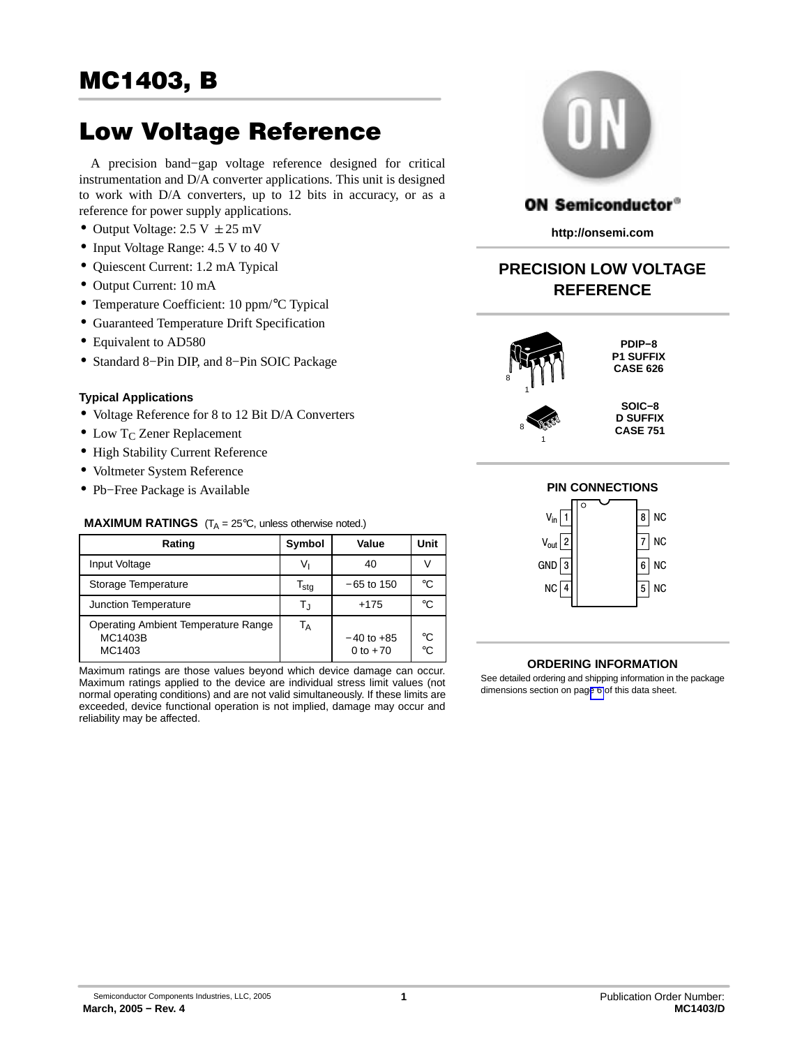Low Voltage Reference A precision band−gap voltage reference designed for critical instrumentation and D/A converter applications. This unit is designed to work with D/A converters, up to 12 bits in accuracy, or as a reference for power supply applications.

- Output Voltage:  $2.5 \text{ V } \pm 25 \text{ mV}$
- Input Voltage Range: 4.5 V to 40 V
- Quiescent Current: 1.2 mA Typical
- Output Current: 10 mA
- Temperature Coefficient: 10 ppm/°C Typical
- Guaranteed Temperature Drift Specification
- Equivalent to AD580
- Standard 8−Pin DIP, and 8−Pin SOIC Package

#### **Typical Applications**

- Voltage Reference for 8 to 12 Bit D/A Converters
- $\bullet$  Low T<sub>C</sub> Zener Replacement
- High Stability Current Reference
- Voltmeter System Reference
- Pb−Free Package is Available

#### **MAXIMUM RATINGS**  $(T_A = 25^\circ\text{C},$  unless otherwise noted.)

| Rating                                                          | Symbol                    | Value                        | Unit     |
|-----------------------------------------------------------------|---------------------------|------------------------------|----------|
| Input Voltage                                                   | Vı                        | 40                           |          |
| Storage Temperature                                             | $\mathsf{T_{\text{stg}}}$ | $-65$ to 150                 | °€       |
| Junction Temperature                                            | Tu                        | $+175$                       | °C       |
| Operating Ambient Temperature Range<br><b>MC1403B</b><br>MC1403 | Т <sub>А</sub>            | $-40$ to $+85$<br>0 to $+70$ | °C<br>°C |

Maximum ratings are those values beyond which device damage can occur. Maximum ratings applied to the device are individual stress limit values (not normal operating conditions) and are not valid simultaneously. If these limits are exceeded, device functional operation is not implied, damage may occur and reliability may be affected.



## **ON Semiconductor®**

**http://onsemi.com**

# **PRECISION LOW VOLTAGE REFERENCE**



8 1

**PDIP−8 P1 SUFFIX CASE 626**

**SOIC−8 D SUFFIX CASE 751**

### **PIN CONNECTIONS**



#### **ORDERING INFORMATION**

See detailed ordering and shipping information in the package dimensions section on pag[e 6](#page-5-0) of this data sheet.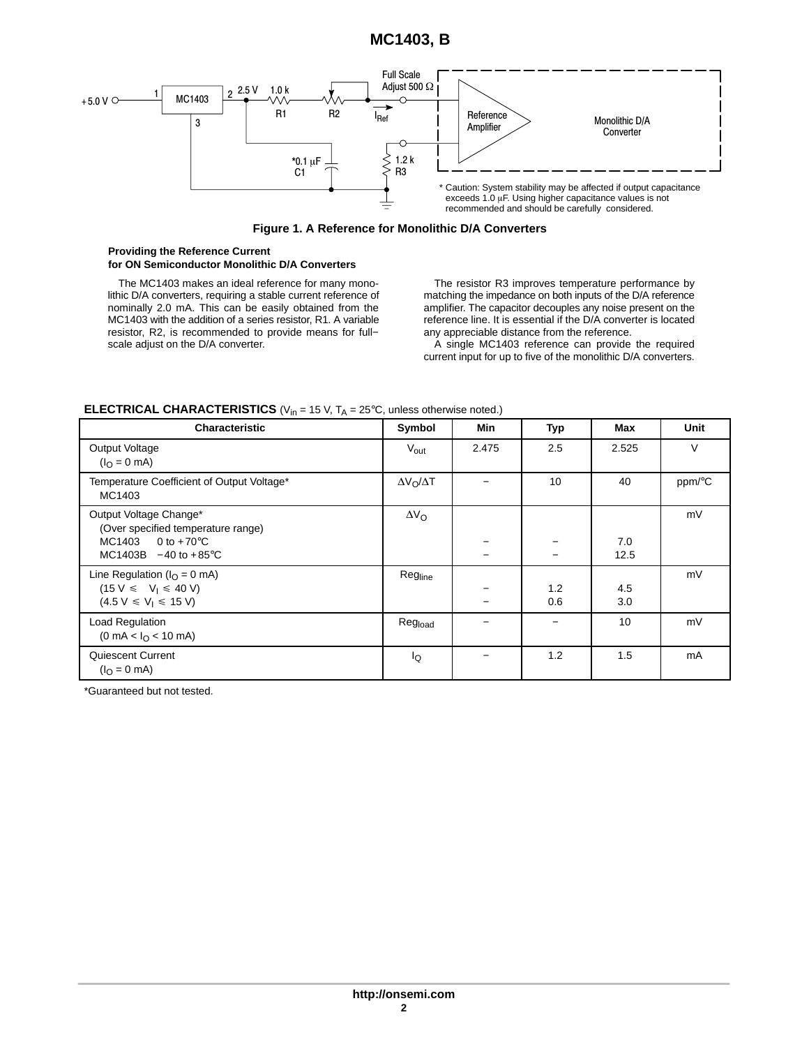# **MC1403, B**



**Figure 1. A Reference for Monolithic D/A Converters**

#### **Providing the Reference Current for ON Semiconductor Monolithic D/A Converters**

The MC1403 makes an ideal reference for many monolithic D/A converters, requiring a stable current reference of nominally 2.0 mA. This can be easily obtained from the MC1403 with the addition of a series resistor, R1. A variable resistor, R2, is recommended to provide means for full− scale adjust on the D/A converter.

The resistor R3 improves temperature performance by matching the impedance on both inputs of the D/A reference amplifier. The capacitor decouples any noise present on the reference line. It is essential if the D/A converter is located any appreciable distance from the reference.

A single MC1403 reference can provide the required current input for up to five of the monolithic D/A converters.

| <b>Characteristic</b>                                                                                                      | Symbol                | Min   | <b>Typ</b> | Max         | Unit   |
|----------------------------------------------------------------------------------------------------------------------------|-----------------------|-------|------------|-------------|--------|
| Output Voltage<br>$(IO = 0$ mA)                                                                                            | $V_{\text{out}}$      | 2.475 | 2.5        | 2.525       | $\vee$ |
| Temperature Coefficient of Output Voltage*<br>MC1403                                                                       | $\Delta V_O/\Delta T$ |       | 10         | 40          | ppm/°C |
| Output Voltage Change*<br>(Over specified temperature range)<br>$MC1403$ 0 to +70 $°C$<br>$MC1403B - 40$ to $+85^{\circ}C$ | $\Delta V_O$          |       |            | 7.0<br>12.5 | mV     |
| Line Regulation ( $I_{\Omega} = 0$ mA)<br>$(15 V \le V_1 \le 40 V)$<br>$(4.5 V \le V_1 \le 15 V)$                          | Regline               |       | 1.2<br>0.6 | 4.5<br>3.0  | mV     |
| Load Regulation<br>$(0 \text{ mA} < I_{\Omega} < 10 \text{ mA})$                                                           | Reg <sub>load</sub>   |       |            | 10          | mV     |
| Quiescent Current<br>$(IO = 0$ mA)                                                                                         | Ιo                    |       | 1.2        | 1.5         | mA     |

#### **ELECTRICAL CHARACTERISTICS** ( $V_{in}$  = 15 V,  $T_A$  = 25 $^{\circ}$ C, unless otherwise noted.)

\*Guaranteed but not tested.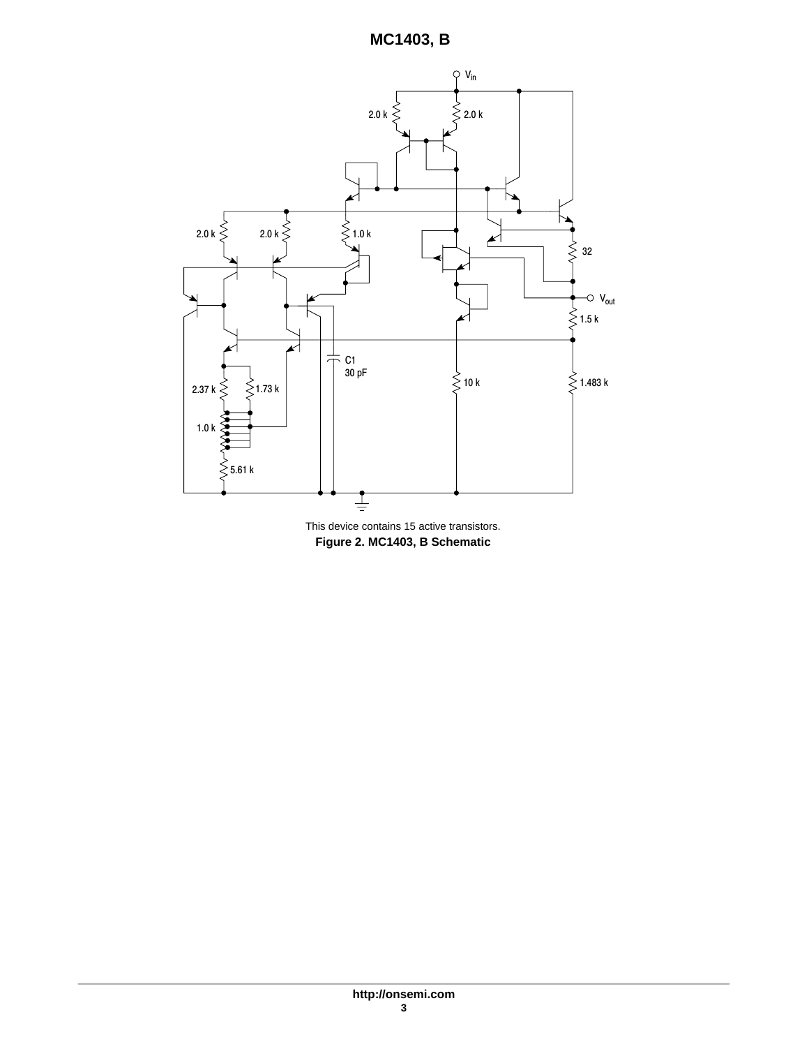

**Figure 2. MC1403, B Schematic** This device contains 15 active transistors.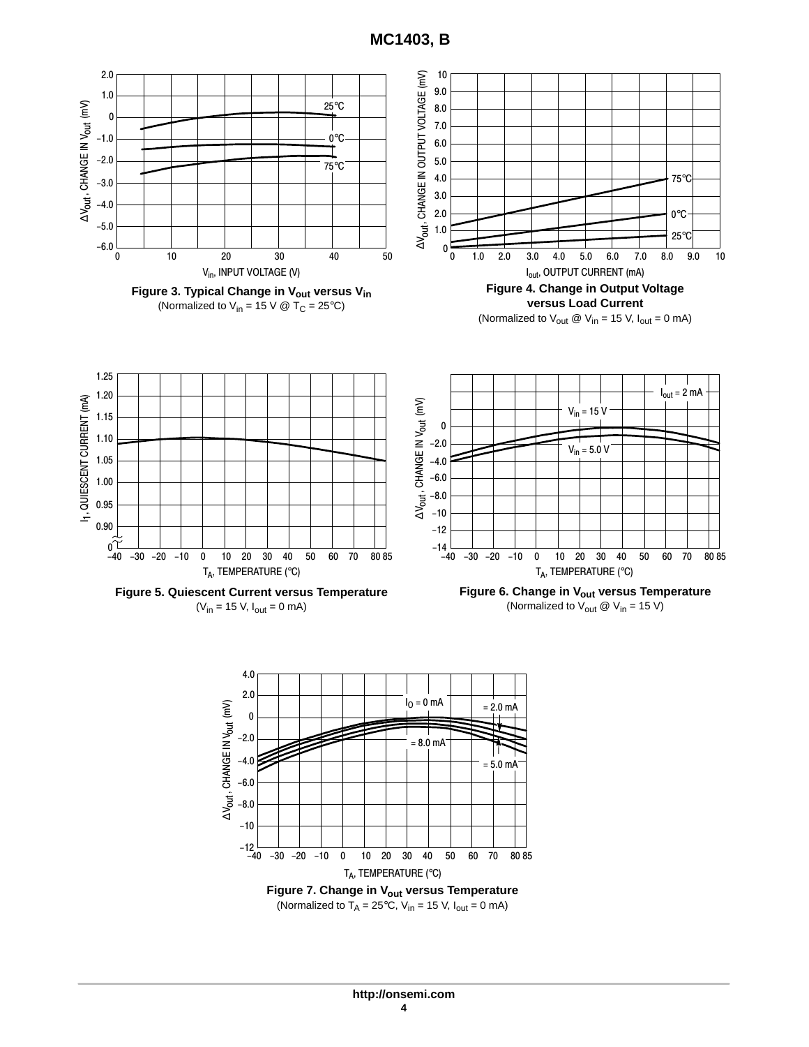**MC1403, B**

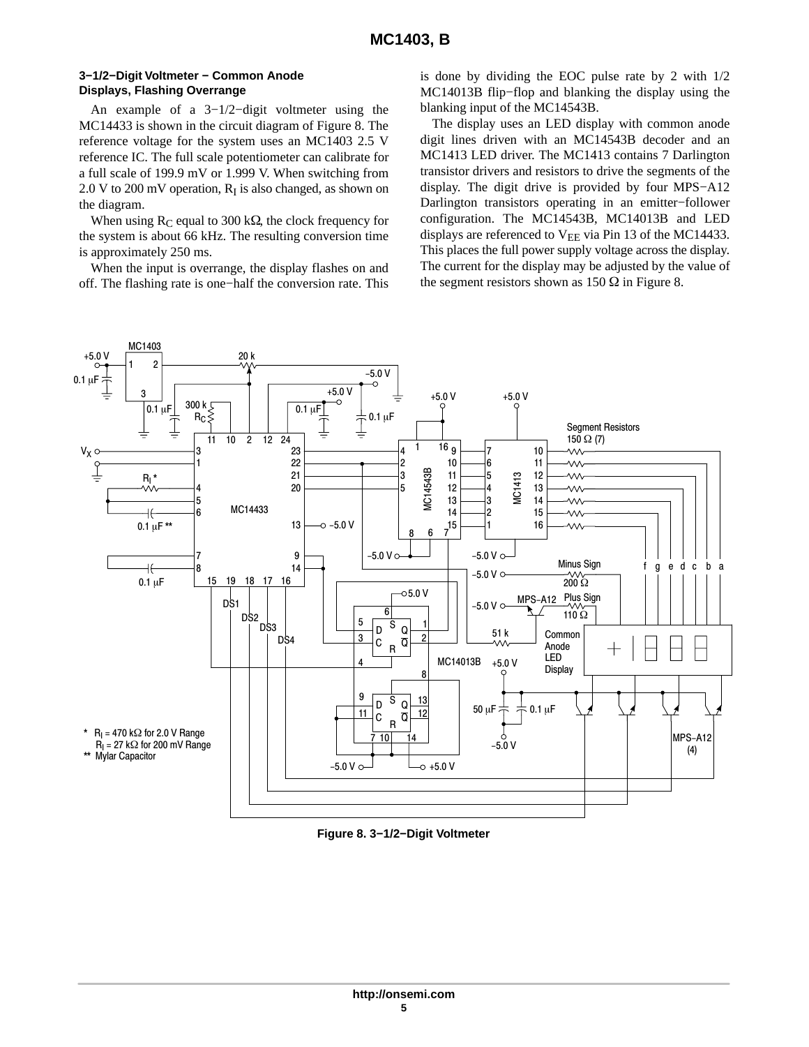#### **3−1/2−Digit Voltmeter − Common Anode Displays, Flashing Overrange**

An example of a 3−1/2−digit voltmeter using the MC14433 is shown in the circuit diagram of Figure 8. The reference voltage for the system uses an MC1403 2.5 V reference IC. The full scale potentiometer can calibrate for a full scale of 199.9 mV or 1.999 V. When switching from  $2.0$  V to  $200$  mV operation,  $R_I$  is also changed, as shown on the diagram.

When using  $R_C$  equal to 300 k $\Omega$ , the clock frequency for the system is about 66 kHz. The resulting conversion time is approximately 250 ms.

When the input is overrange, the display flashes on and off. The flashing rate is one−half the conversion rate. This

is done by dividing the EOC pulse rate by 2 with 1/2 MC14013B flip−flop and blanking the display using the blanking input of the MC14543B.

The display uses an LED display with common anode digit lines driven with an MC14543B decoder and an MC1413 LED driver. The MC1413 contains 7 Darlington transistor drivers and resistors to drive the segments of the display. The digit drive is provided by four MPS−A12 Darlington transistors operating in an emitter−follower configuration. The MC14543B, MC14013B and LED displays are referenced to  $V_{EE}$  via Pin 13 of the MC14433. This places the full power supply voltage across the display. The current for the display may be adjusted by the value of the segment resistors shown as  $150 \Omega$  in Figure 8.



**Figure 8. 3−1/2−Digit Voltmeter**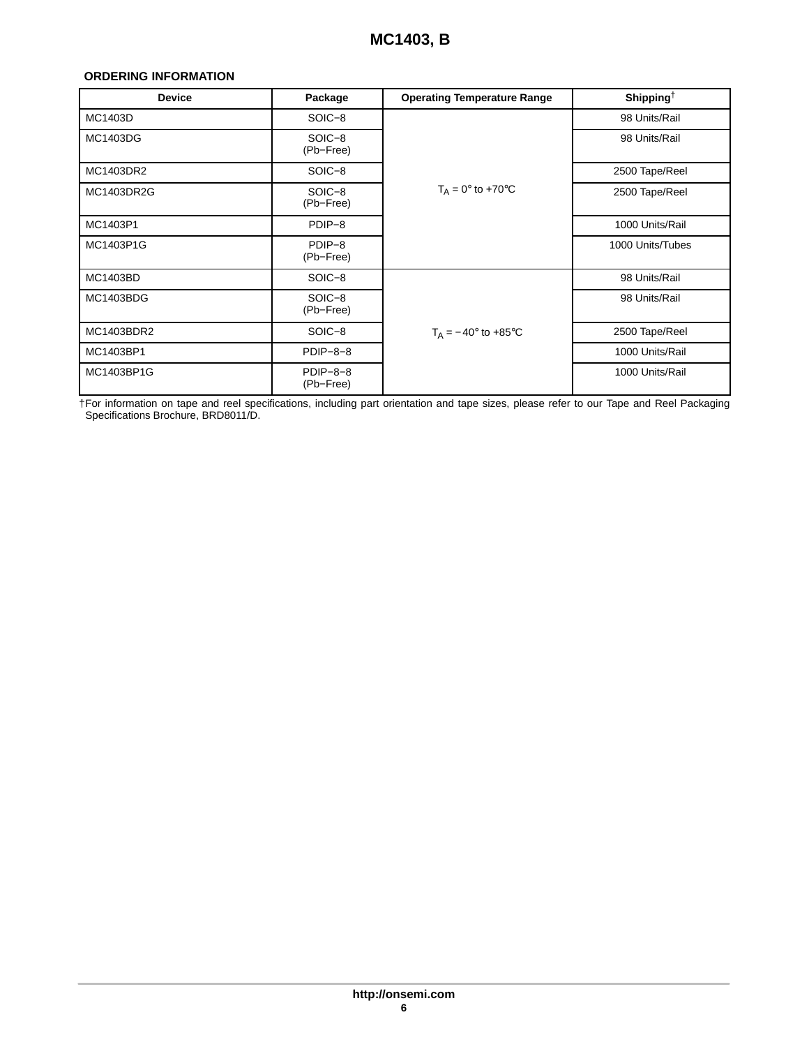#### <span id="page-5-0"></span>**ORDERING INFORMATION**

| <b>Device</b> | Package                 | <b>Operating Temperature Range</b> | Shipping <sup><math>\dagger</math></sup> |
|---------------|-------------------------|------------------------------------|------------------------------------------|
| MC1403D       | SOIC-8                  |                                    | 98 Units/Rail                            |
| MC1403DG      | SOIC-8<br>(Pb-Free)     |                                    | 98 Units/Rail                            |
| MC1403DR2     | SOIC-8                  |                                    | 2500 Tape/Reel                           |
| MC1403DR2G    | SOIC-8<br>(Pb-Free)     | $T_A = 0^\circ$ to +70 $^\circ$ C  | 2500 Tape/Reel                           |
| MC1403P1      | PDIP-8                  |                                    | 1000 Units/Rail                          |
| MC1403P1G     | PDIP-8<br>(Pb-Free)     |                                    | 1000 Units/Tubes                         |
| MC1403BD      | SOIC-8                  |                                    | 98 Units/Rail                            |
| MC1403BDG     | SOIC-8<br>(Pb-Free)     |                                    | 98 Units/Rail                            |
| MC1403BDR2    | SOIC-8                  | $T_A = -40^\circ$ to $+85^\circ$ C | 2500 Tape/Reel                           |
| MC1403BP1     | $PDIP-8-8$              |                                    | 1000 Units/Rail                          |
| MC1403BP1G    | $PDIP-8-8$<br>(Pb-Free) |                                    | 1000 Units/Rail                          |

†For information on tape and reel specifications, including part orientation and tape sizes, please refer to our Tape and Reel Packaging Specifications Brochure, BRD8011/D.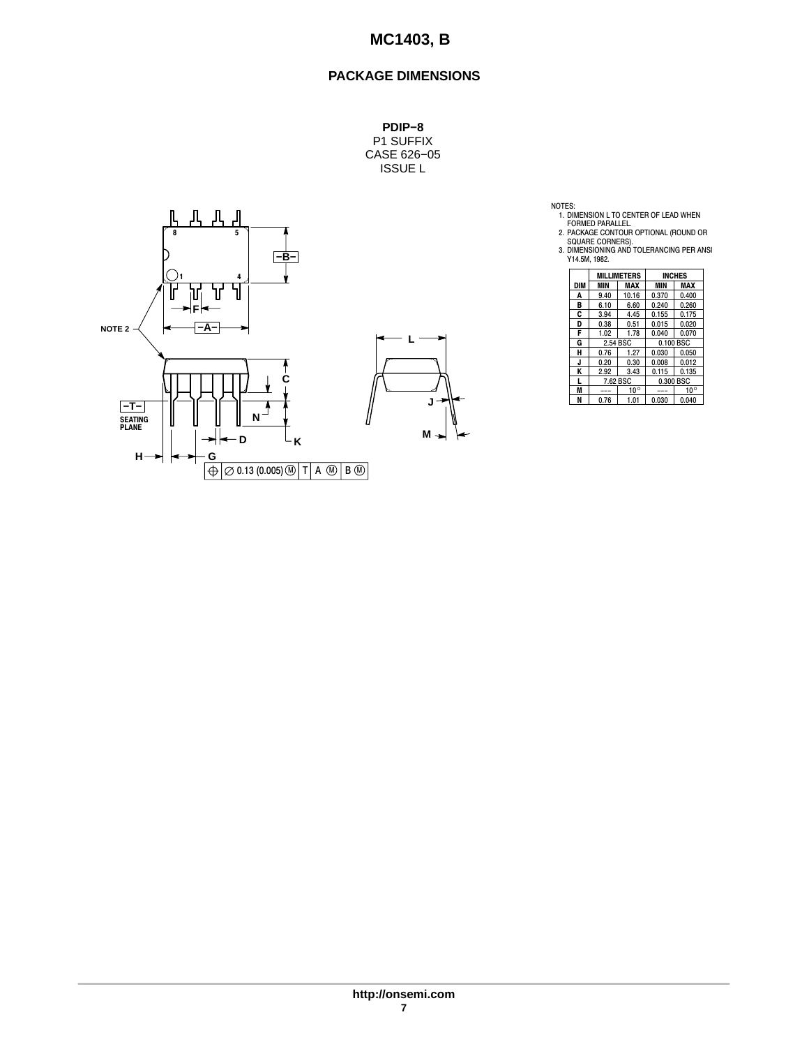# **PACKAGE DIMENSIONS**

**PDIP−8** P1 SUFFIX CASE 626−05 ISSUE L



NOTES:<br>
1. DIMENSION L TO CENTER OF LEAD WHEN<br>
FORMED PARALLEL.<br>
2. PACKAGE CONTOUR OPTIONAL (ROUND OR<br>
SQUARE CORNERS).<br>
3. DIMENSIONING AND TOLERANCING PER ANSI<br>
Y14.5M, 1982.

|     | <b>MILLIMETERS</b> |              | <b>INCHES</b> |              |  |
|-----|--------------------|--------------|---------------|--------------|--|
| DIM | MIN                | MAX          | MIN           | MAX          |  |
| A   | 9.40               | 10.16        | 0.370         | 0.400        |  |
| в   | 6.10               | 6.60         | 0.240         | 0.260        |  |
| C   | 3.94               | 4.45         | 0.155         | 0.175        |  |
| D   | 0.38               | 0.51         | 0.015         | 0.020        |  |
| F   | 1.02               | 1.78         | 0.040         | 0.070        |  |
| G   | 2.54 BSC           |              | 0.100 BSC     |              |  |
| н   | 0.76               | 1.27         | 0.030         | 0.050        |  |
| J   | 0.20               | 0.30         | 0.008         | 0.012        |  |
| K   | 2.92               | 3.43         | 0.115         | 0.135        |  |
|     | 7.62 BSC           |              | 0.300 BSC     |              |  |
| M   |                    | $10^{\circ}$ |               | $10^{\circ}$ |  |
| N   | 0.76               | 1.01         | 0.030         | 0.040        |  |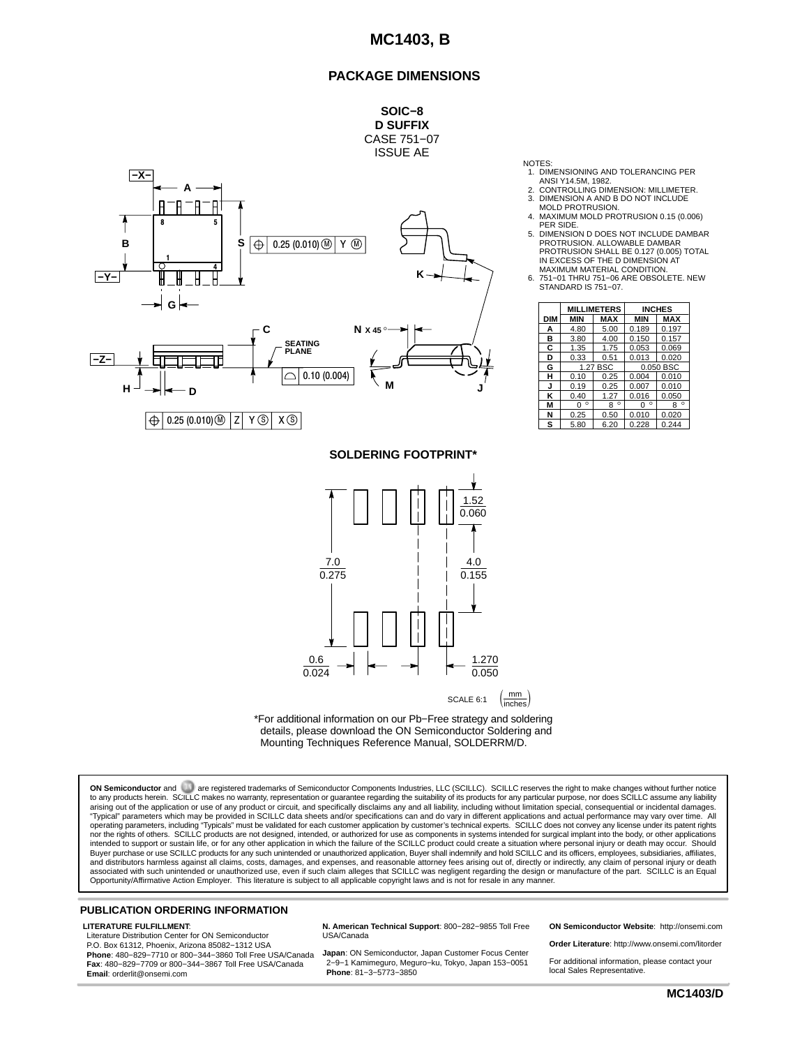#### **PACKAGE DIMENSIONS**



NOTES:

- 
- 1. DIMENSIONING AND TOLERANCING PER ANSI Y14.5M, 1982. 2. CONTROLLING DIMENSION: MILLIMETER.
- 3. DIMENSION A AND B DO NOT INCLUDE MOLD PROTRUSION.
- 4. MAXIMUM MOLD PROTRUSION 0.15 (0.006) PER SIDE.
- 5. DIMENSION D DOES NOT INCLUDE DAMBAR PROTRUSION. ALLOWABLE DAMBAR PROTRUSION SHALL BE 0.127 (0.005) TOTAL IN EXCESS OF THE D DIMENSION AT MAXIMUM MATERIAL CONDITION.
- 6. 751−01 THRU 751−06 ARE OBSOLETE. NEW STANDARD IS 751−07.

|            | <b>MILLIMETERS</b> |              | <b>INCHES</b> |              |  |
|------------|--------------------|--------------|---------------|--------------|--|
| <b>DIM</b> | <b>MIN</b>         | <b>MAX</b>   | <b>MIN</b>    | <b>MAX</b>   |  |
| A          | 4.80               | 5.00         | 0.189         | 0.197        |  |
| в          | 3.80               | 4.00         | 0.150         | 0.157        |  |
| С          | 1.35               | 1.75         | 0.053         | 0.069        |  |
| D          | 0.33               | 0.51         | 0.013         | 0.020        |  |
| G          | 1.27 BSC           |              | 0.050 BSC     |              |  |
| н          | 0.10               | 0.25         | 0.004         | 0.010        |  |
| J          | 0.19               | 0.25         | 0.007         | 0.010        |  |
| κ          | 0.40               | 1.27         | 0.016         | 0.050        |  |
| M          | $\circ$<br>0       | $\circ$<br>8 | $\circ$<br>O  | $\circ$<br>8 |  |
| N          | 0.25               | 0.50         | 0.010         | 0.020        |  |
| s          | 5.80               | 6.20         | 0.228         | 0.244        |  |

**SOLDERING FOOTPRINT\***





**ON Semiconductor** and are registered trademarks of Semiconductor Components Industries, LLC (SCILLC). SCILLC reserves the right to make changes without further notice to any products herein. SCILLC makes no warranty, representation or guarantee regarding the suitability of its products for any particular purpose, nor does SCILLC assume any liability<br>"Typical" parameters which may be pro intended to support or sustain life, or for any other application in which the failure of the SCILLC product could create a situation where personal injury or death may occur. Should<br>Buyer purchase or use SCILLC products f and distributors harmless against all claims, costs, damages, and expenses, and reasonable attorney fees arising out of, directly or indirectly, any claim of personal injury or death associated with such unintended or unauthorized use, even if such claim alleges that SCILLC was negligent regarding the design or manufacture of the part. SCILLC is an Equal<br>Opportunity/Affirmative Action Employer. This li

#### **PUBLICATION ORDERING INFORMATION**

#### **LITERATURE FULFILLMENT**:

Literature Distribution Center for ON Semiconductor P.O. Box 61312, Phoenix, Arizona 85082−1312 USA **Phone**: 480−829−7710 or 800−344−3860 Toll Free USA/Canada **Fax**: 480−829−7709 or 800−344−3867 Toll Free USA/Canada **Email**: orderlit@onsemi.com

**N. American Technical Support**: 800−282−9855 Toll Free USA/Canada

**Japan**: ON Semiconductor, Japan Customer Focus Center 2−9−1 Kamimeguro, Meguro−ku, Tokyo, Japan 153−0051 **Phone**: 81−3−5773−3850

**ON Semiconductor Website**: http://onsemi.com

**Order Literature**: http://www.onsemi.com/litorder

For additional information, please contact your local Sales Representative.